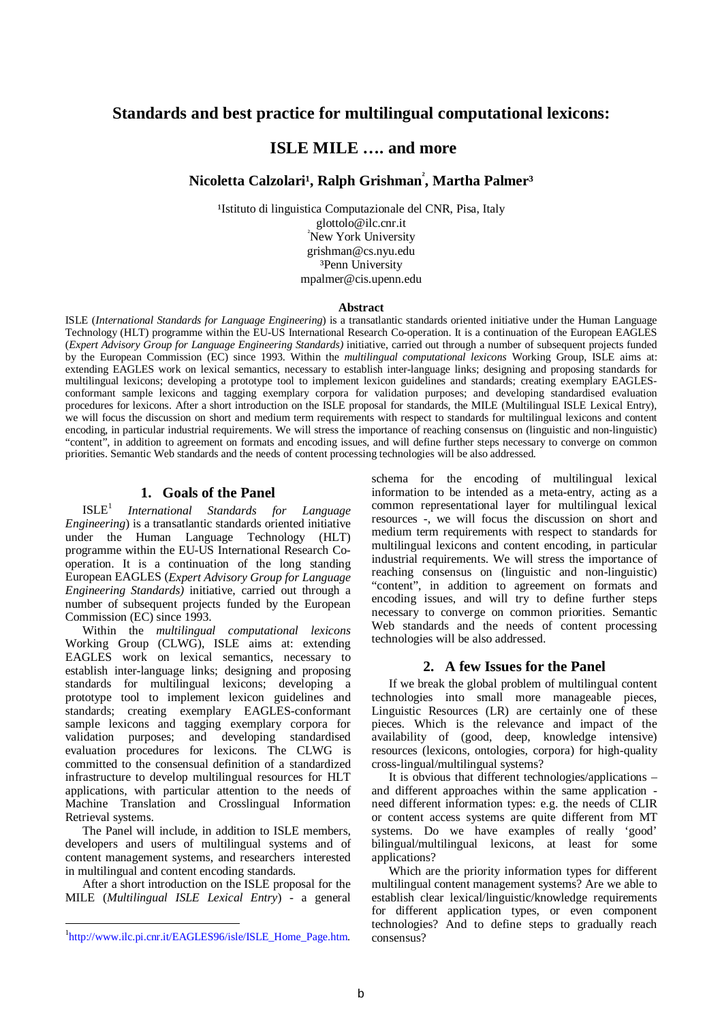# **Standards and best practice for multilingual computational lexicons:**

# **ISLE MILE …. and more**

 $\rm{Nico}$ letta Calzolari<sup>1</sup>, Ralph Grishman $\degree$ , Martha Palmer $^3$ 

<sup>1</sup>Istituto di linguistica Computazionale del CNR, Pisa, Italy glottolo@ilc.cnr.it <sup>²</sup>New York University grishman@cs.nyu.edu ³Penn University mpalmer@cis.upenn.edu

#### **Abstract**

ISLE (*International Standards for Language Engineering*) is a transatlantic standards oriented initiative under the Human Language Technology (HLT) programme within the EU-US International Research Co-operation. It is a continuation of the European EAGLES (*Expert Advisory Group for Language Engineering Standards)* initiative, carried out through a number of subsequent projects funded by the European Commission (EC) since 1993. Within the *multilingual computational lexicons* Working Group, ISLE aims at: extending EAGLES work on lexical semantics, necessary to establish inter-language links; designing and proposing standards for multilingual lexicons; developing a prototype tool to implement lexicon guidelines and standards; creating exemplary EAGLESconformant sample lexicons and tagging exemplary corpora for validation purposes; and developing standardised evaluation procedures for lexicons. After a short introduction on the ISLE proposal for standards, the MILE (Multilingual ISLE Lexical Entry), we will focus the discussion on short and medium term requirements with respect to standards for multilingual lexicons and content encoding, in particular industrial requirements. We will stress the importance of reaching consensus on (linguistic and non-linguistic) "content", in addition to agreement on formats and encoding issues, and will define further steps necessary to converge on common priorities. Semantic Web standards and the needs of content processing technologies will be also addressed.

### **1. Goals of the Panel**

 $ISLE<sup>1</sup>$ *International Standards for Language Engineering*) is a transatlantic standards oriented initiative under the Human Language Technology (HLT) programme within the EU-US International Research Cooperation. It is a continuation of the long standing European EAGLES (*Expert Advisory Group for Language Engineering Standards)* initiative, carried out through a number of subsequent projects funded by the European Commission (EC) since 1993.

Within the *multilingual computational lexicons* Working Group (CLWG), ISLE aims at: extending EAGLES work on lexical semantics, necessary to establish inter-language links; designing and proposing standards for multilingual lexicons; developing a prototype tool to implement lexicon guidelines and standards; creating exemplary EAGLES-conformant sample lexicons and tagging exemplary corpora for validation purposes; and developing standardised evaluation procedures for lexicons. The CLWG is committed to the consensual definition of a standardized infrastructure to develop multilingual resources for HLT applications, with particular attention to the needs of Machine Translation and Crosslingual Information Retrieval systems.

The Panel will include, in addition to ISLE members, developers and users of multilingual systems and of content management systems, and researchers interested in multilingual and content encoding standards.

After a short introduction on the ISLE proposal for the MILE (*Multilingual ISLE Lexical Entry*) - a general

 $\overline{a}$ 

schema for the encoding of multilingual lexical information to be intended as a meta-entry, acting as a common representational layer for multilingual lexical resources -, we will focus the discussion on short and medium term requirements with respect to standards for multilingual lexicons and content encoding, in particular industrial requirements. We will stress the importance of reaching consensus on (linguistic and non-linguistic) "content", in addition to agreement on formats and encoding issues, and will try to define further steps necessary to converge on common priorities. Semantic Web standards and the needs of content processing technologies will be also addressed.

### **2. A few Issues for the Panel**

If we break the global problem of multilingual content technologies into small more manageable pieces, Linguistic Resources (LR) are certainly one of these pieces. Which is the relevance and impact of the availability of (good, deep, knowledge intensive) resources (lexicons, ontologies, corpora) for high-quality cross-lingual/multilingual systems?

It is obvious that different technologies/applications – and different approaches within the same application need different information types: e.g. the needs of CLIR or content access systems are quite different from MT systems. Do we have examples of really 'good' bilingual/multilingual lexicons, at least for some applications?

Which are the priority information types for different multilingual content management systems? Are we able to establish clear lexical/linguistic/knowledge requirements for different application types, or even component technologies? And to define steps to gradually reach consensus?

<sup>&</sup>lt;sup>1</sup>http://www.ilc.pi.cnr.it/EAGLES96/isle/ISLE\_Home\_Page.htm.